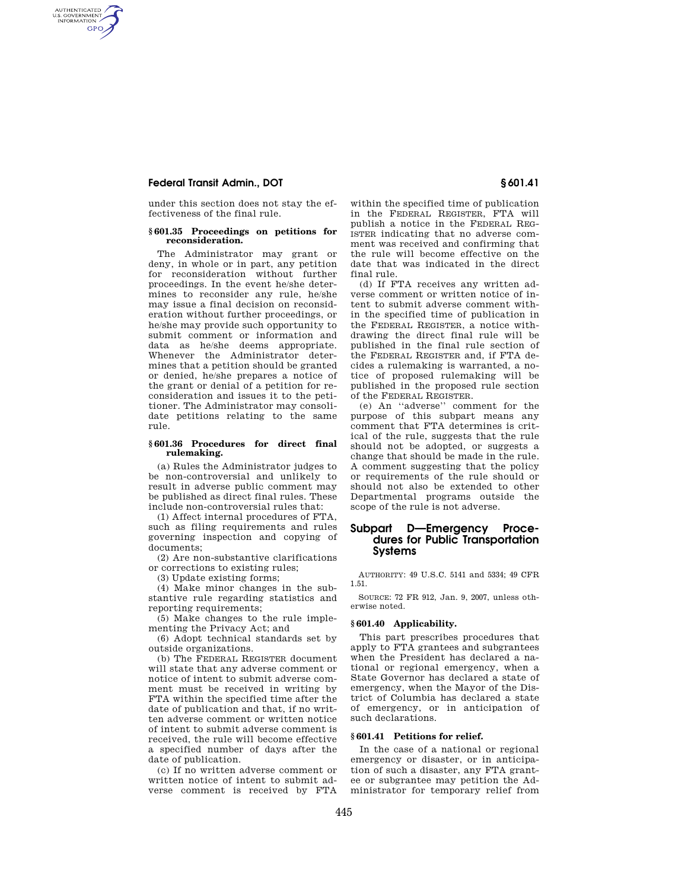# **Federal Transit Admin., DOT § 601.41**

AUTHENTICATED<br>U.S. GOVERNMENT<br>INFORMATION **GPO** 

> under this section does not stay the effectiveness of the final rule.

#### **§ 601.35 Proceedings on petitions for reconsideration.**

The Administrator may grant or deny, in whole or in part, any petition for reconsideration without further proceedings. In the event he/she determines to reconsider any rule, he/she may issue a final decision on reconsideration without further proceedings, or he/she may provide such opportunity to submit comment or information and data as he/she deems appropriate. Whenever the Administrator determines that a petition should be granted or denied, he/she prepares a notice of the grant or denial of a petition for reconsideration and issues it to the petitioner. The Administrator may consolidate petitions relating to the same rule.

#### **§ 601.36 Procedures for direct final rulemaking.**

(a) Rules the Administrator judges to be non-controversial and unlikely to result in adverse public comment may be published as direct final rules. These include non-controversial rules that:

(1) Affect internal procedures of FTA, such as filing requirements and rules governing inspection and copying of documents;

(2) Are non-substantive clarifications or corrections to existing rules;

(3) Update existing forms;

(4) Make minor changes in the substantive rule regarding statistics and reporting requirements;

(5) Make changes to the rule implementing the Privacy Act; and

(6) Adopt technical standards set by outside organizations.

(b) The FEDERAL REGISTER document will state that any adverse comment or notice of intent to submit adverse comment must be received in writing by FTA within the specified time after the date of publication and that, if no written adverse comment or written notice of intent to submit adverse comment is received, the rule will become effective a specified number of days after the date of publication.

(c) If no written adverse comment or written notice of intent to submit adverse comment is received by FTA

within the specified time of publication in the FEDERAL REGISTER, FTA will publish a notice in the FEDERAL REG-ISTER indicating that no adverse comment was received and confirming that the rule will become effective on the date that was indicated in the direct final rule.

(d) If FTA receives any written adverse comment or written notice of intent to submit adverse comment within the specified time of publication in the FEDERAL REGISTER, a notice withdrawing the direct final rule will be published in the final rule section of the FEDERAL REGISTER and, if FTA decides a rulemaking is warranted, a notice of proposed rulemaking will be published in the proposed rule section of the FEDERAL REGISTER.

(e) An ''adverse'' comment for the purpose of this subpart means any comment that FTA determines is critical of the rule, suggests that the rule should not be adopted, or suggests a change that should be made in the rule. A comment suggesting that the policy or requirements of the rule should or should not also be extended to other Departmental programs outside the scope of the rule is not adverse.

# **Subpart D—Emergency Procedures for Public Transportation Systems**

AUTHORITY: 49 U.S.C. 5141 and 5334; 49 CFR 1.51.

SOURCE: 72 FR 912, Jan. 9, 2007, unless otherwise noted.

#### **§ 601.40 Applicability.**

This part prescribes procedures that apply to FTA grantees and subgrantees when the President has declared a national or regional emergency, when a State Governor has declared a state of emergency, when the Mayor of the District of Columbia has declared a state of emergency, or in anticipation of such declarations.

#### **§ 601.41 Petitions for relief.**

In the case of a national or regional emergency or disaster, or in anticipation of such a disaster, any FTA grantee or subgrantee may petition the Administrator for temporary relief from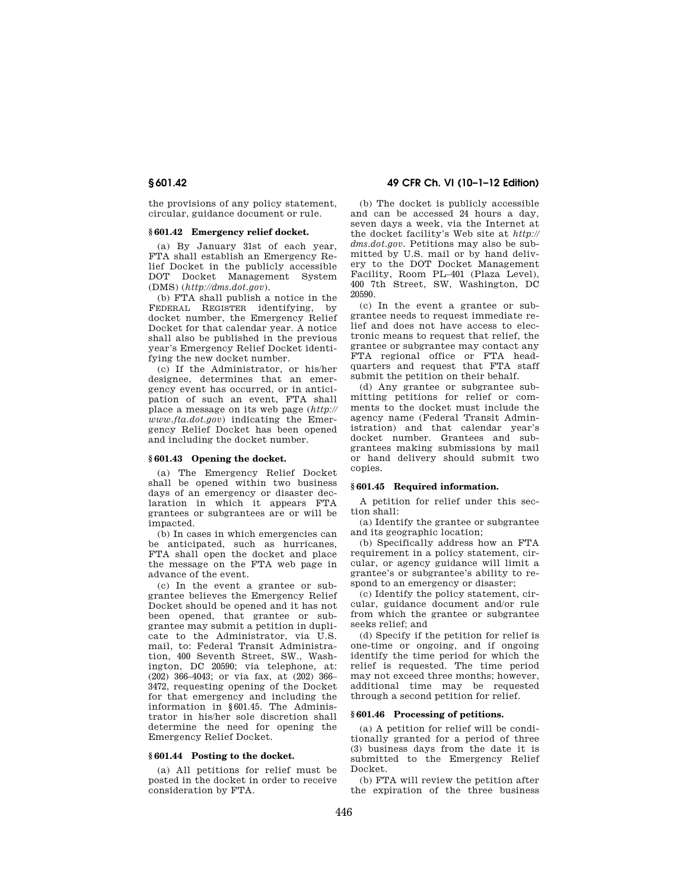the provisions of any policy statement, circular, guidance document or rule.

# **§ 601.42 Emergency relief docket.**

(a) By January 31st of each year, FTA shall establish an Emergency Relief Docket in the publicly accessible DOT Docket Management System (DMS) (*http://dms.dot.gov*).

(b) FTA shall publish a notice in the FEDERAL REGISTER identifying, by docket number, the Emergency Relief Docket for that calendar year. A notice shall also be published in the previous year's Emergency Relief Docket identifying the new docket number.

(c) If the Administrator, or his/her designee, determines that an emergency event has occurred, or in anticipation of such an event, FTA shall place a message on its web page (*http:// www.fta.dot.gov*) indicating the Emergency Relief Docket has been opened and including the docket number.

#### **§ 601.43 Opening the docket.**

(a) The Emergency Relief Docket shall be opened within two business days of an emergency or disaster declaration in which it appears FTA grantees or subgrantees are or will be impacted.

(b) In cases in which emergencies can be anticipated, such as hurricanes, FTA shall open the docket and place the message on the FTA web page in advance of the event.

(c) In the event a grantee or subgrantee believes the Emergency Relief Docket should be opened and it has not been opened, that grantee or subgrantee may submit a petition in duplicate to the Administrator, via U.S. mail, to: Federal Transit Administration, 400 Seventh Street, SW., Washington, DC 20590; via telephone, at: (202) 366–4043; or via fax, at (202) 366– 3472, requesting opening of the Docket for that emergency and including the information in §601.45. The Administrator in his/her sole discretion shall determine the need for opening the Emergency Relief Docket.

#### **§ 601.44 Posting to the docket.**

(a) All petitions for relief must be posted in the docket in order to receive consideration by FTA.

(b) The docket is publicly accessible and can be accessed 24 hours a day, seven days a week, via the Internet at the docket facility's Web site at *http:// dms.dot.gov.* Petitions may also be submitted by U.S. mail or by hand delivery to the DOT Docket Management Facility, Room PL–401 (Plaza Level), 400 7th Street, SW, Washington, DC 20590.

(c) In the event a grantee or subgrantee needs to request immediate relief and does not have access to electronic means to request that relief, the grantee or subgrantee may contact any FTA regional office or FTA headquarters and request that FTA staff submit the petition on their behalf.

(d) Any grantee or subgrantee submitting petitions for relief or comments to the docket must include the agency name (Federal Transit Administration) and that calendar year's docket number. Grantees and subgrantees making submissions by mail or hand delivery should submit two copies.

#### **§ 601.45 Required information.**

A petition for relief under this section shall:

(a) Identify the grantee or subgrantee and its geographic location;

(b) Specifically address how an FTA requirement in a policy statement, circular, or agency guidance will limit a grantee's or subgrantee's ability to respond to an emergency or disaster;

(c) Identify the policy statement, circular, guidance document and/or rule from which the grantee or subgrantee seeks relief; and

(d) Specify if the petition for relief is one-time or ongoing, and if ongoing identify the time period for which the relief is requested. The time period may not exceed three months; however, additional time may be requested through a second petition for relief.

# **§ 601.46 Processing of petitions.**

(a) A petition for relief will be conditionally granted for a period of three (3) business days from the date it is submitted to the Emergency Relief Docket.

(b) FTA will review the petition after the expiration of the three business